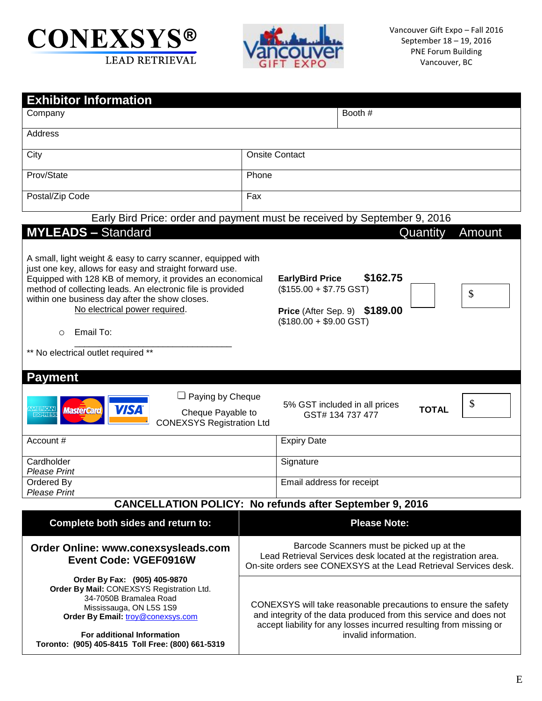



| <b>Exhibitor Information</b>                                                                                                                                                                                                                                                                                                                                                                                           |                                                                                                                                                                                                                                   |  |  |
|------------------------------------------------------------------------------------------------------------------------------------------------------------------------------------------------------------------------------------------------------------------------------------------------------------------------------------------------------------------------------------------------------------------------|-----------------------------------------------------------------------------------------------------------------------------------------------------------------------------------------------------------------------------------|--|--|
| Company                                                                                                                                                                                                                                                                                                                                                                                                                | Booth #                                                                                                                                                                                                                           |  |  |
| Address                                                                                                                                                                                                                                                                                                                                                                                                                |                                                                                                                                                                                                                                   |  |  |
| City                                                                                                                                                                                                                                                                                                                                                                                                                   | <b>Onsite Contact</b>                                                                                                                                                                                                             |  |  |
| Prov/State                                                                                                                                                                                                                                                                                                                                                                                                             | Phone                                                                                                                                                                                                                             |  |  |
| Postal/Zip Code                                                                                                                                                                                                                                                                                                                                                                                                        | Fax                                                                                                                                                                                                                               |  |  |
|                                                                                                                                                                                                                                                                                                                                                                                                                        | Early Bird Price: order and payment must be received by September 9, 2016                                                                                                                                                         |  |  |
| <b>MYLEADS - Standard</b>                                                                                                                                                                                                                                                                                                                                                                                              | Quantity<br>Amount                                                                                                                                                                                                                |  |  |
| A small, light weight & easy to carry scanner, equipped with<br>just one key, allows for easy and straight forward use.<br>Equipped with 128 KB of memory, it provides an economical<br>method of collecting leads. An electronic file is provided<br>within one business day after the show closes.<br>No electrical power required.<br>Email To:<br>$\circ$<br>** No electrical outlet required **<br><b>Payment</b> | \$162.75<br><b>EarlyBird Price</b><br>$($155.00 + $7.75$ GST)<br>\$<br>Price (After Sep. 9) \$189.00<br>$($180.00 + $9.00$ GST)                                                                                                   |  |  |
| $\Box$ Paying by Cheque<br><b>VISA</b><br><i><b>MasterCard</b></i><br>Cheque Payable to<br><b>CONEXSYS Registration Ltd</b>                                                                                                                                                                                                                                                                                            | \$<br>5% GST included in all prices<br><b>TOTAL</b><br>GST# 134 737 477                                                                                                                                                           |  |  |
| Account #                                                                                                                                                                                                                                                                                                                                                                                                              | <b>Expiry Date</b>                                                                                                                                                                                                                |  |  |
| Cardholder<br><b>Please Print</b>                                                                                                                                                                                                                                                                                                                                                                                      | Signature                                                                                                                                                                                                                         |  |  |
| Ordered By<br><b>Please Print</b>                                                                                                                                                                                                                                                                                                                                                                                      | Email address for receipt                                                                                                                                                                                                         |  |  |
|                                                                                                                                                                                                                                                                                                                                                                                                                        | <b>CANCELLATION POLICY: No refunds after September 9, 2016</b>                                                                                                                                                                    |  |  |
| Complete both sides and return to:                                                                                                                                                                                                                                                                                                                                                                                     | <b>Please Note:</b>                                                                                                                                                                                                               |  |  |
| Order Online: www.conexsysleads.com<br><b>Event Code: VGEF0916W</b>                                                                                                                                                                                                                                                                                                                                                    | Barcode Scanners must be picked up at the<br>Lead Retrieval Services desk located at the registration area.<br>On-site orders see CONEXSYS at the Lead Retrieval Services desk.                                                   |  |  |
| Order By Fax: (905) 405-9870<br>Order By Mail: CONEXSYS Registration Ltd.<br>34-7050B Bramalea Road<br>Mississauga, ON L5S 1S9<br>Order By Email: troy@conexsys.com<br>For additional Information<br>Toronto: (905) 405-8415 Toll Free: (800) 661-5319                                                                                                                                                                 | CONEXSYS will take reasonable precautions to ensure the safety<br>and integrity of the data produced from this service and does not<br>accept liability for any losses incurred resulting from missing or<br>invalid information. |  |  |